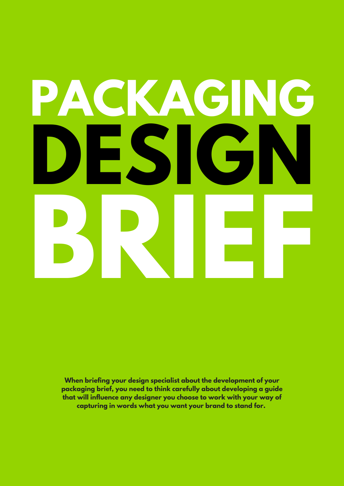# **PACKAGING DESIGN BRIEF**

**When briefing your design specialist about the development of your packaging brief, you need to think carefully about developing a guide that will influence any designer you choose to work with your way of capturing in words what you want your brand to stand for.**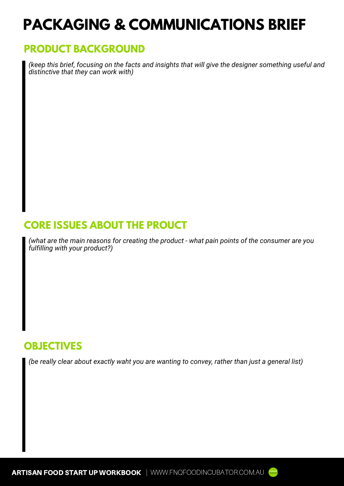# **PACKAGING & COMMUNICATIONS BRIEF**

#### **PRODUCT BACKGROUND**

*(keep this brief, focusing on the facts and insights that will give the designer something useful and distinctive that they can work with)*

# **CORE ISSUES ABOUT THE PROUCT**

*(what are the main reasons for creating the product - what pain points of the consumer are you fulfilling with your product?)*

#### **OBJECTIVES**

*(be really clear about exactly waht you are wanting to convey, rather than just a general list)*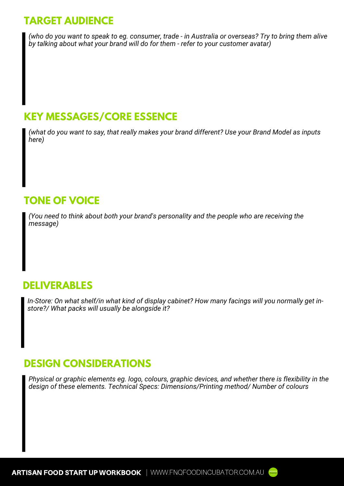# **TARGET AUDIENCE**

*(who do you want to speak to eg. consumer, trade - in Australia or overseas? Try to bring them alive by talking about what your brand will do for them - refer to your customer avatar)*

#### **KEY MESSAGES/CORE ESSENCE**

*(what do you want to say, that really makes your brand different? Use your Brand Model as inputs here)*

# **TONE OF VOICE**

*(You need to think about both your brand's personality and the people who are receiving the message)*

#### **DELIVERABLES**

*In-Store: On what shelf/in what kind of display cabinet? How many facings will you normally get instore?/ What packs will usually be alongside it?*

## **DESIGN CONSIDERATIONS**

*Physical or graphic elements eg. logo, colours, graphic devices, and whether there is flexibility in the design of these elements. Technical Specs: Dimensions/Printing method/ Number of colours*